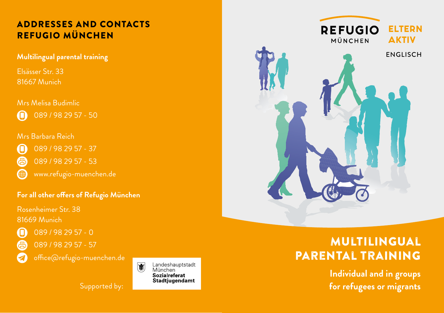# REFUGIO MÜNCHEN

**Multilingual parental training** 

Elsässer Str. 33 81667 Munich

#### Mrs Melisa Budimlic

089 / 98 29 57 - 50 ח׳

#### Mrs Barbara Reich



(曲)

089 / 98 29 57 - 37

- 偈 089 / 98 29 57 - 53
	- www.refugio-muenchen.de

#### **For all other offers of Refugio München**

Rosenheimer Str. 38 81669 Munich



089 / 98 29 57 - 0



office@refugio-muenchen.de

Supported by:





# Multilingual parental training

**Individual and in groups for refugees or migrants**